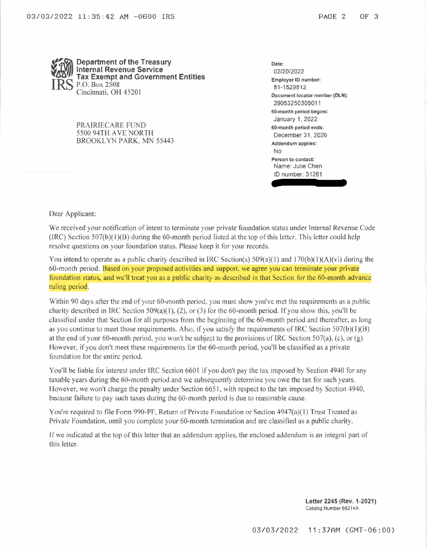

PRAIRIECARE FUND 5500 94TH AVE NORTH BROOKLYN PARK, MN 55443 **Date:** 02/20/2022 **Employer ID number:** 81-1529812 **Document locator number (DLN):** 29053250305011 **60-month period begins:** January 1, 2022 **60-month period ends:** December 31, 2026 **Addendum applies:** No **Pgrson to contact:** Name: Julie Chen ID number: 31261

Dear Applicant:

We received your notification of intent to terminate your private foundation status under Internal Revenue Code  $(IRC)$  Section 507(b) $(1)(B)$  during the 60-month period listed at the top of this letter. This letter could help resolve questions on your foundation status. Please keep it for your records.

You intend to operate as a public charity described in IRC Section(s)  $509(a)(1)$  and  $170(b)(1)(A)(vi)$  during the 60-month period. Based on your proposed activities and support, we agree you can terminate your private foundation status, and we'll treat you as <sup>a</sup> public charity as described in that Section for the 60-month advance ruling period.

Within 90 days after the end of your 60-month period. you must show you've met the requirements as <sup>a</sup> public charity described in IRC Section  $509(a)(1)$ , (2), or (3) for the 60-month period. If you show this, you'll be classified under that Section for all purposes from the beginning of the 60-month period and thereafter, as long as you continue to meet those requirements. Also, if you satisfy the requirements of IRC Section  $507(b)(1)(B)$ at the end of your 60-month period. you won't be subject to the provisions of IRC Section 507(a). (c), or (g). However, if you don't meet these requirements for the 60-month period, you'll be classified as <sup>a</sup> private foundation for the entire period.

You'll be liable for interest under IRC Section 6601 if you don't pay the tax imposed by Section 4940 for any taxable years during the 60-month period and we subsequently determine you owe the tax for such years. However, we won't charge the penalty under Section 6651, with respect to the tax imposed by Section 4940, because failure to pay such taxes during the 60-month period is due to reasonable cause.

You're required to file Form 990-PF, Return of Private Foundation or Section 4947(a)(1) Trust Treated as Private Foundation, until you complete your 60-month termination and are classified as a public charity.

If we indicated at the top ofthis letter that an addendum applies, the enclosed addendum is an integral part of this letter.

> **Letter 2245 (Rev. 1-2021)** Catalog Number 66214A